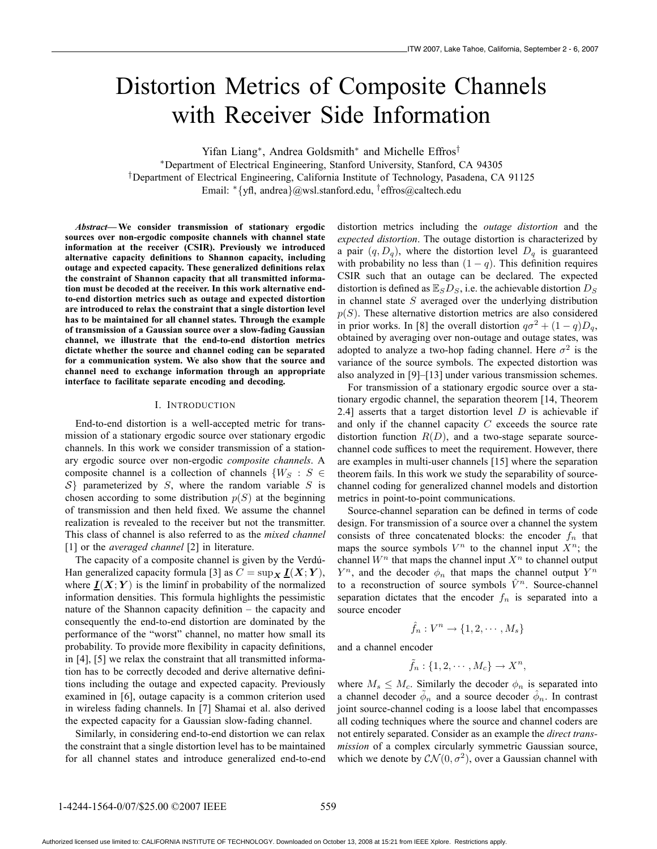# Distortion Metrics of Composite Channels with Receiver Side Information

Yifan Liang∗, Andrea Goldsmith<sup>∗</sup> and Michelle Effros†

<sup>∗</sup>Department of Electrical Engineering, Stanford University, Stanford, CA 94305

†Department of Electrical Engineering, California Institute of Technology, Pasadena, CA 91125

Email: <sup>∗</sup>{yfl, andrea}@wsl.stanford.edu, †effros@caltech.edu

*Abstract***— We consider transmission of stationary ergodic sources over non-ergodic composite channels with channel state information at the receiver (CSIR). Previously we introduced alternative capacity definitions to Shannon capacity, including outage and expected capacity. These generalized definitions relax the constraint of Shannon capacity that all transmitted information must be decoded at the receiver. In this work alternative endto-end distortion metrics such as outage and expected distortion are introduced to relax the constraint that a single distortion level has to be maintained for all channel states. Through the example of transmission of a Gaussian source over a slow-fading Gaussian channel, we illustrate that the end-to-end distortion metrics dictate whether the source and channel coding can be separated for a communication system. We also show that the source and channel need to exchange information through an appropriate interface to facilitate separate encoding and decoding.**

#### I. INTRODUCTION

End-to-end distortion is a well-accepted metric for transmission of a stationary ergodic source over stationary ergodic channels. In this work we consider transmission of a stationary ergodic source over non-ergodic *composite channels*. A composite channel is a collection of channels  $\{W_S : S \in$  $S$ } parameterized by S, where the random variable S is chosen according to some distribution  $p(S)$  at the beginning of transmission and then held fixed. We assume the channel realization is revealed to the receiver but not the transmitter. This class of channel is also referred to as the *mixed channel* [1] or the *averaged channel* [2] in literature.

The capacity of a composite channel is given by the Verdú-Han generalized capacity formula [3] as  $C = \sup_{\mathbf{X}} I(X;Y)$ , where  $I(X;Y)$  is the liminf in probability of the normalized information densities. This formula highlights the pessimistic nature of the Shannon capacity definition – the capacity and consequently the end-to-end distortion are dominated by the performance of the "worst" channel, no matter how small its probability. To provide more flexibility in capacity definitions, in [4], [5] we relax the constraint that all transmitted information has to be correctly decoded and derive alternative definitions including the outage and expected capacity. Previously examined in [6], outage capacity is a common criterion used in wireless fading channels. In [7] Shamai et al. also derived the expected capacity for a Gaussian slow-fading channel.

Similarly, in considering end-to-end distortion we can relax the constraint that a single distortion level has to be maintained for all channel states and introduce generalized end-to-end distortion metrics including the *outage distortion* and the *expected distortion*. The outage distortion is characterized by a pair  $(q, D_q)$ , where the distortion level  $D_q$  is guaranteed with probability no less than  $(1 - q)$ . This definition requires CSIR such that an outage can be declared. The expected distortion is defined as  $\mathbb{E}_S D_S$ , i.e. the achievable distortion  $D_S$ in channel state  $S$  averaged over the underlying distribution  $p(S)$ . These alternative distortion metrics are also considered in prior works. In [8] the overall distortion  $q\sigma^2 + (1-q)D_q$ , obtained by averaging over non-outage and outage states, was adopted to analyze a two-hop fading channel. Here  $\sigma^2$  is the variance of the source symbols. The expected distortion was also analyzed in [9]–[13] under various transmission schemes.

For transmission of a stationary ergodic source over a stationary ergodic channel, the separation theorem [14, Theorem 2.4] asserts that a target distortion level  $D$  is achievable if and only if the channel capacity  $C$  exceeds the source rate distortion function  $R(D)$ , and a two-stage separate sourcechannel code suffices to meet the requirement. However, there are examples in multi-user channels [15] where the separation theorem fails. In this work we study the separability of sourcechannel coding for generalized channel models and distortion metrics in point-to-point communications.

Source-channel separation can be defined in terms of code design. For transmission of a source over a channel the system consists of three concatenated blocks: the encoder  $f_n$  that maps the source symbols  $V^n$  to the channel input  $X^n$ ; the channel  $W^n$  that maps the channel input  $X^n$  to channel output  $Y^n$ , and the decoder  $\phi_n$  that maps the channel output  $Y^n$ to a reconstruction of source symbols  $\hat{V}^n$ . Source-channel separation dictates that the encoder  $f_n$  is separated into a source encoder

$$
\hat{f}_n: V^n \to \{1, 2, \cdots, M_s\}
$$

and a channel encoder

$$
\tilde{f}_n: \{1, 2, \cdots, M_c\} \to X^n,
$$

where  $M_s \leq M_c$ . Similarly the decoder  $\phi_n$  is separated into a channel decoder  $\phi_n$  and a source decoder  $\phi_n$ . In contrast joint source-channel coding is a loose label that encompasses all coding techniques where the source and channel coders are not entirely separated. Consider as an example the *direct transmission* of a complex circularly symmetric Gaussian source, which we denote by  $\mathcal{CN}(0, \sigma^2)$ , over a Gaussian channel with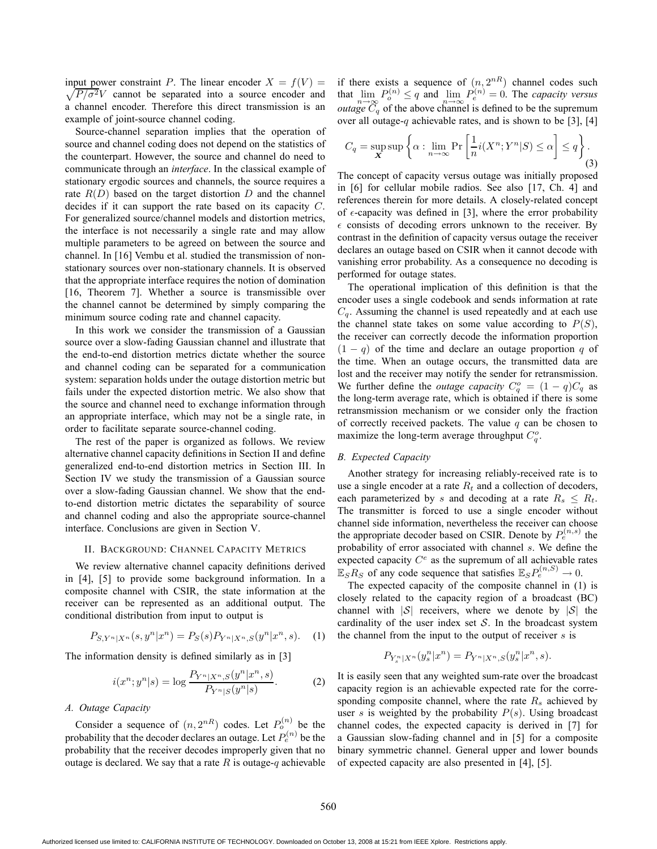input power constraint P. The linear encoder  $X = f(V) =$ <br> $\sqrt{P/\sigma^2}V$  cannot be separated into a source encoder and  $\sqrt{P/\sigma^2}V$  cannot be separated into a source encoder and a channel encoder. Therefore this direct transmission is an example of joint-source channel coding.

Source-channel separation implies that the operation of source and channel coding does not depend on the statistics of the counterpart. However, the source and channel do need to communicate through an *interface*. In the classical example of stationary ergodic sources and channels, the source requires a rate  $R(D)$  based on the target distortion D and the channel decides if it can support the rate based on its capacity C. For generalized source/channel models and distortion metrics, the interface is not necessarily a single rate and may allow multiple parameters to be agreed on between the source and channel. In [16] Vembu et al. studied the transmission of nonstationary sources over non-stationary channels. It is observed that the appropriate interface requires the notion of domination [16, Theorem 7]. Whether a source is transmissible over the channel cannot be determined by simply comparing the minimum source coding rate and channel capacity.

In this work we consider the transmission of a Gaussian source over a slow-fading Gaussian channel and illustrate that the end-to-end distortion metrics dictate whether the source and channel coding can be separated for a communication system: separation holds under the outage distortion metric but fails under the expected distortion metric. We also show that the source and channel need to exchange information through an appropriate interface, which may not be a single rate, in order to facilitate separate source-channel coding.

The rest of the paper is organized as follows. We review alternative channel capacity definitions in Section II and define generalized end-to-end distortion metrics in Section III. In Section IV we study the transmission of a Gaussian source over a slow-fading Gaussian channel. We show that the endto-end distortion metric dictates the separability of source and channel coding and also the appropriate source-channel interface. Conclusions are given in Section V.

## II. BACKGROUND: CHANNEL CAPACITY METRICS

We review alternative channel capacity definitions derived in [4], [5] to provide some background information. In a composite channel with CSIR, the state information at the receiver can be represented as an additional output. The conditional distribution from input to output is

$$
P_{S,Y^n|X^n}(s,y^n|x^n) = P_S(s)P_{Y^n|X^n,S}(y^n|x^n,s). \quad (1)
$$

The information density is defined similarly as in [3]

$$
i(x^n; y^n|s) = \log \frac{P_{Y^n|X^n, S}(y^n|x^n, s)}{P_{Y^n|S}(y^n|s)}.
$$
 (2)

# *A. Outage Capacity*

Consider a sequence of  $(n, 2^{nR})$  codes. Let  $P_o^{(n)}$  be the probability that the decoder declares an outage. Let  $P_e^{(n)}$  be the probability that the receiver decodes improperly given that no outage is declared. We say that a rate  $R$  is outage-q achievable if there exists a sequence of  $(n, 2^n R)$  channel codes such that  $\lim_{n\to\infty} P_o^{(n)} \leq q$  and  $\lim_{n\to\infty} P_e^{(n)} = 0$ . The *capacity versus outage*  $\widetilde{C}_q$  of the above channel is defined to be the supremum over all outage-q achievable rates, and is shown to be [3], [4]

$$
C_q = \sup_{\mathbf{X}} \sup \left\{ \alpha : \lim_{n \to \infty} \Pr \left[ \frac{1}{n} i(X^n; Y^n | S) \le \alpha \right] \le q \right\}.
$$
\n(3)

The concept of capacity versus outage was initially proposed in [6] for cellular mobile radios. See also [17, Ch. 4] and references therein for more details. A closely-related concept of  $\epsilon$ -capacity was defined in [3], where the error probability  $\epsilon$  consists of decoding errors unknown to the receiver. By contrast in the definition of capacity versus outage the receiver declares an outage based on CSIR when it cannot decode with vanishing error probability. As a consequence no decoding is performed for outage states.

The operational implication of this definition is that the encoder uses a single codebook and sends information at rate  $C_q$ . Assuming the channel is used repeatedly and at each use the channel state takes on some value according to  $P(S)$ , the receiver can correctly decode the information proportion  $(1 - q)$  of the time and declare an outage proportion q of the time. When an outage occurs, the transmitted data are lost and the receiver may notify the sender for retransmission. We further define the *outage capacity*  $C_q^o = (1 - q)C_q$  as the long-term average rate, which is obtained if there is some retransmission mechanism or we consider only the fraction of correctly received packets. The value  $q$  can be chosen to maximize the long-term average throughput  $C_q^o$ .

#### *B. Expected Capacity*

Another strategy for increasing reliably-received rate is to use a single encoder at a rate  $R_t$  and a collection of decoders, each parameterized by s and decoding at a rate  $R_s \leq R_t$ . The transmitter is forced to use a single encoder without channel side information, nevertheless the receiver can choose the appropriate decoder based on CSIR. Denote by  $P_e^{(n,s)}$  the probability of error associated with channel s. We define the expected capacity  $C<sup>e</sup>$  as the supremum of all achievable rates  $\mathbb{E}_S R_S$  of any code sequence that satisfies  $\mathbb{E}_S P_e^{(n,S)} \to 0$ .

The expected capacity of the composite channel in (1) is closely related to the capacity region of a broadcast (BC) channel with  $|S|$  receivers, where we denote by  $|S|$  the cardinality of the user index set  $S$ . In the broadcast system the channel from the input to the output of receiver  $s$  is

$$
P_{Y_s^n|X^n}(y_s^n|x^n) = P_{Y^n|X^n,S}(y_s^n|x^n,s).
$$

It is easily seen that any weighted sum-rate over the broadcast capacity region is an achievable expected rate for the corresponding composite channel, where the rate  $R_s$  achieved by user s is weighted by the probability  $P(s)$ . Using broadcast channel codes, the expected capacity is derived in [7] for a Gaussian slow-fading channel and in [5] for a composite binary symmetric channel. General upper and lower bounds of expected capacity are also presented in [4], [5].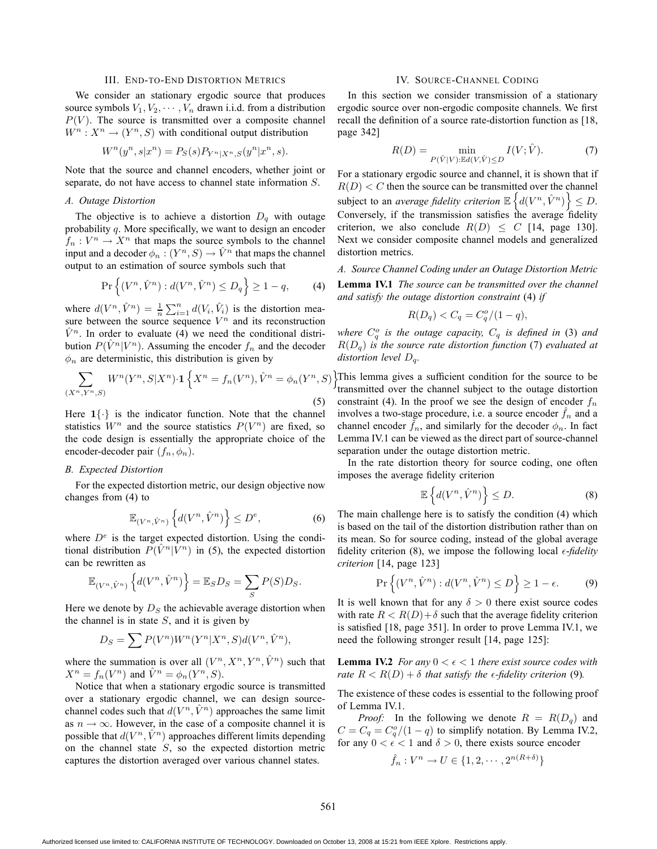#### III. END-TO-END DISTORTION METRICS

We consider an stationary ergodic source that produces source symbols  $V_1, V_2, \cdots, V_n$  drawn i.i.d. from a distribution  $P(V)$ . The source is transmitted over a composite channel  $W^n$ :  $X^n \to (Y^n, S)$  with conditional output distribution

$$
W^{n}(y^{n}, s|x^{n}) = P_{S}(s)P_{Y^{n}|X^{n}, S}(y^{n}|x^{n}, s).
$$

Note that the source and channel encoders, whether joint or separate, do not have access to channel state information S.

#### *A. Outage Distortion*

The objective is to achieve a distortion  $D_q$  with outage probability q. More specifically, we want to design an encoder  $f_n: V^n \to X^n$  that maps the source symbols to the channel input and a decoder  $\phi_n : (Y^n, S) \to \hat{V}^n$  that maps the channel output to an estimation of source symbols such that

$$
\Pr\left\{ (V^n, \hat{V}^n) : d(V^n, \hat{V}^n) \le D_q \right\} \ge 1 - q,\tag{4}
$$

where  $d(V^n, \hat{V}^n) = \frac{1}{n} \sum_{i=1}^n d(V_i, \hat{V}_i)$  is the distortion measure between the source sequence  $V^n$  and its reconstruction  $\hat{V}^n$ . In order to evaluate (4) we need the conditional distribution  $P(\hat{V}^n | V^n)$ . Assuming the encoder  $f_n$  and the decoder  $\phi_n$  are deterministic, this distribution is given by

$$
\sum_{(X^n, Y^n, S)} W^n(Y^n, S | X^n) \cdot \mathbf{1} \left\{ X^n = f_n(V^n), \hat{V}^n = \phi_n(Y^n, S) \right\}
$$
\n
$$
(5)
$$

Here  $1\{\cdot\}$  is the indicator function. Note that the channel statistics  $W^n$  and the source statistics  $P(V^n)$  are fixed, so the code design is essentially the appropriate choice of the encoder-decoder pair  $(f_n, \phi_n)$ .

## *B. Expected Distortion*

For the expected distortion metric, our design objective now changes from (4) to

$$
\mathbb{E}_{(V^n, \hat{V}^n)}\left\{d(V^n, \hat{V}^n)\right\} \le D^e,\tag{6}
$$

where  $D<sup>e</sup>$  is the target expected distortion. Using the conditional distribution  $P(\hat{V}^n|V^n)$  in (5), the expected distortion can be rewritten as

$$
\mathbb{E}_{(V^n, \hat{V}^n)} \left\{ d(V^n, \hat{V}^n) \right\} = \mathbb{E}_S D_S = \sum_S P(S) D_S.
$$

Here we denote by  $D<sub>S</sub>$  the achievable average distortion when the channel is in state  $S$ , and it is given by

$$
D_S = \sum P(V^n)W^n(Y^n|X^n, S)d(V^n, \hat{V}^n),
$$

where the summation is over all  $(V^n, X^n, Y^n, \hat{V}^n)$  such that  $X^n = f_n(V^n)$  and  $\hat{V}^n = \phi_n(Y^n, S)$ .<br>Notice that when a stationary ergod

Notice that when a stationary ergodic source is transmitted over a stationary ergodic channel, we can design sourcechannel codes such that  $d(V^n, \hat{V}^n)$  approaches the same limit as  $n \to \infty$ . However, in the case of a composite channel it is possible that  $d(V^n, \hat{V}^n)$  approaches different limits depending on the channel state  $S$ , so the expected distortion metric captures the distortion averaged over various channel states.

## IV. SOURCE-CHANNEL CODING

In this section we consider transmission of a stationary ergodic source over non-ergodic composite channels. We first recall the definition of a source rate-distortion function as [18, page 342]

$$
R(D) = \min_{P(\hat{V}|V): \mathbb{E}d(V,\hat{V}) \le D} I(V; \hat{V}).
$$
 (7)

For a stationary ergodic source and channel, it is shown that if  $R(D) < C$  then the source can be transmitted over the channel subject to an *average fidelity criterion*  $\mathbb{E}\left\{d(V^n, \hat{V}^n)\right\} \leq D$ .<br>Convergely, if the transmission estistics the systems fidelity Conversely, if the transmission satisfies the average fidelity criterion, we also conclude  $R(D) \leq C$  [14, page 130]. Next we consider composite channel models and generalized distortion metrics.

*A. Source Channel Coding under an Outage Distortion Metric* **Lemma IV.1** *The source can be transmitted over the channel and satisfy the outage distortion constraint* (4) *if*

$$
R(D_q) < C_q = C_q^o / (1 - q),
$$

where  $C_q^o$  is the outage capacity,  $C_q$  is defined in (3) and <sup>R</sup>(D<sup>q</sup>) *is the source rate distortion function* (7) *evaluated at distortion level* Dq*.*

 This lemma gives a sufficient condition for the source to be <sup>J</sup>transmitted over the channel subject to the outage distortion constraint (4). In the proof we see the design of encoder  $f_n$ involves a two-stage procedure, i.e. a source encoder  $f_n$  and a channel encoder  $f_n$ , and similarly for the decoder  $\phi_n$ . In fact Lemma IV.1 can be viewed as the direct part of source-channel separation under the outage distortion metric.

In the rate distortion theory for source coding, one often imposes the average fidelity criterion

$$
\mathbb{E}\left\{d(V^n,\hat{V}^n)\right\} \le D. \tag{8}
$$

The main challenge here is to satisfy the condition (4) which is based on the tail of the distortion distribution rather than on its mean. So for source coding, instead of the global average fidelity criterion (8), we impose the following local  $\epsilon$ -fidelity *criterion* [14, page 123]

$$
\Pr\left\{ (V^n, \hat{V}^n) : d(V^n, \hat{V}^n) \le D \right\} \ge 1 - \epsilon. \tag{9}
$$

It is well known that for any  $\delta > 0$  there exist source codes with rate  $R < R(D) + \delta$  such that the average fidelity criterion is satisfied [18, page 351]. In order to prove Lemma IV.1, we need the following stronger result [14, page 125]:

**Lemma IV.2** *For any*  $0 < \epsilon < 1$  *there exist source codes with rate*  $R < R(D) + \delta$  *that satisfy the e-fidelity criterion* (9)*.* 

The existence of these codes is essential to the following proof of Lemma IV.1.

*Proof:* In the following we denote  $R = R(D_q)$  and  $C = C_q = C_q^o/(1-q)$  to simplify notation. By Lemma IV.2,<br>for any  $0 \le \epsilon \le 1$  and  $\delta > 0$ , there exists source encoder for any  $0 < \epsilon < 1$  and  $\delta > 0$ , there exists source encoder

$$
\hat{f}_n: V^n \to U \in \{1, 2, \cdots, 2^{n(R+\delta)}\}
$$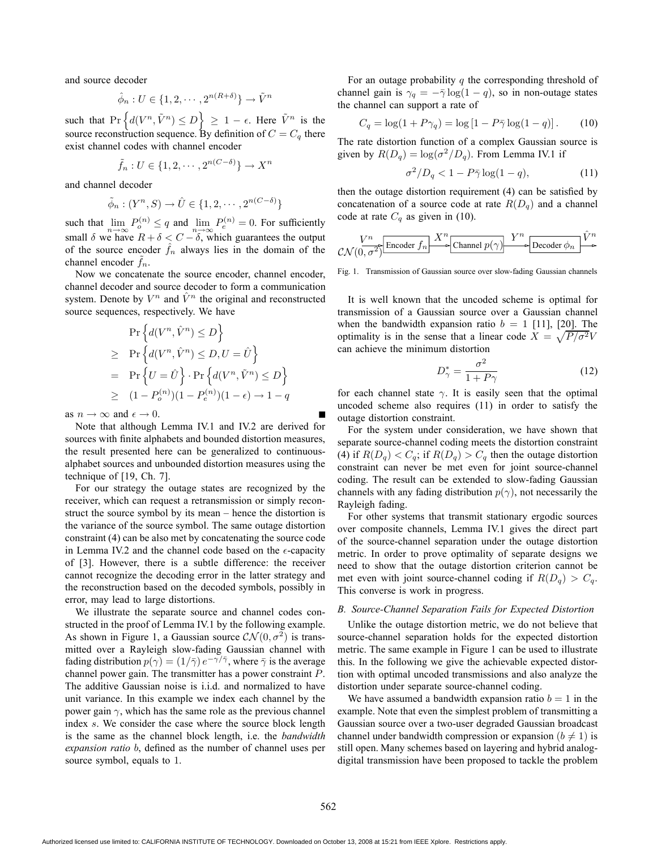and source decoder

$$
\hat{\phi}_n: U \in \{1, 2, \cdots, 2^{n(R+\delta)}\} \to \tilde{V}^n
$$

such that  $Pr\left\{d(V^n, \tilde{V}^n) \le D\right\} \ge 1 - \epsilon$ . Here  $\tilde{V}^n$  is the sequence reconstruction sequences  $R_V$  definition of  $C - C$  there source reconstruction sequence. By definition of  $C = C_q$  there<br>exist channel codes with channel encoder exist channel codes with channel encoder

$$
\tilde{f}_n: U \in \{1, 2, \cdots, 2^{n(C-\delta)}\} \to X^n
$$

and channel decoder

$$
\tilde{\phi}_n : (Y^n, S) \to \hat{U} \in \{1, 2, \cdots, 2^{n(C - \delta)}\}
$$

such that  $\lim_{n \to \infty} P_o^{(n)} \le q$  and  $\lim_{n \to \infty} P_e^{(n)} = 0$ . For sufficiently small  $\delta$  we have  $R + \delta < C - \delta$ , which guarantees the output of the source encoder  $\hat{f}_n$  always lies in the domain of the channel encoder  $f_n$ .

Now we concatenate the source encoder, channel encoder, channel decoder and source decoder to form a communication system. Denote by  $V^n$  and  $\hat{V}^n$  the original and reconstructed source sequences, respectively. We have

$$
\Pr\left\{d(V^n, \hat{V}^n) \le D\right\}
$$
\n
$$
\ge \Pr\left\{d(V^n, \hat{V}^n) \le D, U = \hat{U}\right\}
$$
\n
$$
= \Pr\left\{U = \hat{U}\right\} \cdot \Pr\left\{d(V^n, \tilde{V}^n) \le D\right\}
$$
\n
$$
\ge (1 - P_o^{(n)})(1 - P_e^{(n)})(1 - \epsilon) \to 1 - q
$$

as  $n \to \infty$  and  $\epsilon \to 0$ .

Note that although Lemma IV.1 and IV.2 are derived for sources with finite alphabets and bounded distortion measures, the result presented here can be generalized to continuousalphabet sources and unbounded distortion measures using the technique of [19, Ch. 7].

For our strategy the outage states are recognized by the receiver, which can request a retransmission or simply reconstruct the source symbol by its mean – hence the distortion is the variance of the source symbol. The same outage distortion constraint (4) can be also met by concatenating the source code in Lemma IV.2 and the channel code based on the  $\epsilon$ -capacity of [3]. However, there is a subtle difference: the receiver cannot recognize the decoding error in the latter strategy and the reconstruction based on the decoded symbols, possibly in error, may lead to large distortions.

We illustrate the separate source and channel codes constructed in the proof of Lemma IV.1 by the following example. As shown in Figure 1, a Gaussian source  $CN(0, \sigma^2)$  is transmitted over a Rayleigh slow-fading Gaussian channel with fading distribution  $p(\gamma) = (1/\overline{\gamma}) e^{-\gamma/\overline{\gamma}}$ , where  $\overline{\gamma}$  is the average channel power gain. The transmitter has a power constraint P. The additive Gaussian noise is i.i.d. and normalized to have unit variance. In this example we index each channel by the power gain  $\gamma$ , which has the same role as the previous channel index s. We consider the case where the source block length is the same as the channel block length, i.e. the *bandwidth expansion ratio* b, defined as the number of channel uses per source symbol, equals to 1.

For an outage probability  $q$  the corresponding threshold of channel gain is  $\gamma_q = -\bar{\gamma} \log(1 - q)$ , so in non-outage states the channel can support a rate of

$$
C_q = \log(1 + P\gamma_q) = \log[1 - P\bar{\gamma}\log(1 - q)].
$$
 (10)

The rate distortion function of a complex Gaussian source is given by  $R(D_q) = \log(\sigma^2/D_q)$ . From Lemma IV.1 if

$$
\sigma^2/D_q < 1 - P\bar{\gamma}\log(1-q),\tag{11}
$$

then the outage distortion requirement (4) can be satisfied by concatenation of a source code at rate  $R(D_q)$  and a channel code at rate  $C_q$  as given in (10).

$$
\mathcal{CN}(0, \sigma^2) \longrightarrow \text{Encoder } f_n \longrightarrow \text{Channel } p(\gamma) \longrightarrow \text{Decoder } \phi_n \longrightarrow \text{Decoder } \phi_n
$$

Fig. 1. Transmission of Gaussian source over slow-fading Gaussian channels

It is well known that the uncoded scheme is optimal for transmission of a Gaussian source over a Gaussian channel when the bandwidth expansion ratio  $b = 1$  [11], [20]. The optimality is in the sense that a linear code  $X = \sqrt{P/\sigma^2}V$ can achieve the minimum distortion

$$
D_{\gamma}^{*} = \frac{\sigma^{2}}{1 + P\gamma}
$$
 (12)  
for each channel state  $\gamma$ . It is easily seen that the optimal

uncoded scheme also requires (11) in order to satisfy the outage distortion constraint.

For the system under consideration, we have shown that separate source-channel coding meets the distortion constraint (4) if  $R(D_q) < C_q$ ; if  $R(D_q) > C_q$  then the outage distortion constraint can never be met even for joint source-channel coding. The result can be extended to slow-fading Gaussian channels with any fading distribution  $p(\gamma)$ , not necessarily the Rayleigh fading.

For other systems that transmit stationary ergodic sources over composite channels, Lemma IV.1 gives the direct part of the source-channel separation under the outage distortion metric. In order to prove optimality of separate designs we need to show that the outage distortion criterion cannot be met even with joint source-channel coding if  $R(D_q) > C_q$ . This converse is work in progress.

#### *B. Source-Channel Separation Fails for Expected Distortion*

Unlike the outage distortion metric, we do not believe that source-channel separation holds for the expected distortion metric. The same example in Figure 1 can be used to illustrate this. In the following we give the achievable expected distortion with optimal uncoded transmissions and also analyze the distortion under separate source-channel coding.

We have assumed a bandwidth expansion ratio  $b = 1$  in the example. Note that even the simplest problem of transmitting a Gaussian source over a two-user degraded Gaussian broadcast channel under bandwidth compression or expansion ( $b \neq 1$ ) is still open. Many schemes based on layering and hybrid analogdigital transmission have been proposed to tackle the problem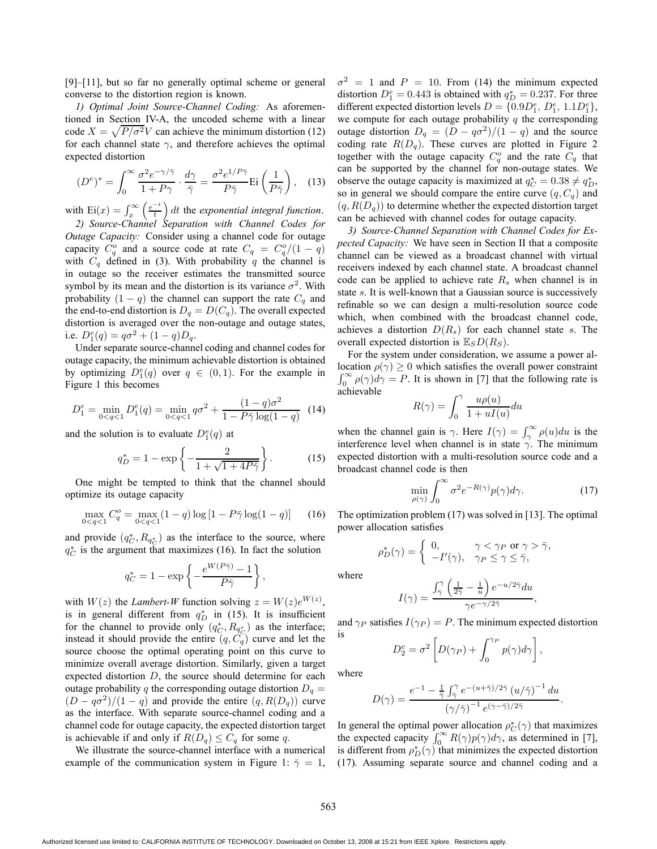[9]–[11], but so far no generally optimal scheme or general converse to the distortion region is known.

*1) Optimal Joint Source-Channel Coding:* As aforementioned in Section IV-A, the uncoded scheme with a linear code  $X = \sqrt{P/\sigma^2}V$  can achieve the minimum distortion (12)<br>for each channel state  $\alpha$  and therefore achieves the ontimal for each channel state  $\gamma$ , and therefore achieves the optimal expected distortion

$$
(D^e)^* = \int_0^\infty \frac{\sigma^2 e^{-\gamma/\bar{\gamma}}}{1 + P\gamma} \cdot \frac{d\gamma}{\bar{\gamma}} = \frac{\sigma^2 e^{1/P\bar{\gamma}}}{P\bar{\gamma}} \text{Ei}\left(\frac{1}{P\bar{\gamma}}\right), \quad (13)
$$

with  $Ei(x) = \int_{x}^{\infty} \left(\frac{e^{-t}}{t}\right) dt$  the *exponential integral function*. *2) Source-Channel Separation with Channel Codes for*

*Outage Capacity:* Consider using a channel code for outage capacity  $\hat{C}_q^o$  and a source code at rate  $C_q = C_q^o/(1-q)$ <br>with  $C_q$  defined in (3) With probability q the channel is with  $C_q$  defined in (3). With probability q the channel is in outage so the receiver estimates the transmitted source symbol by its mean and the distortion is its variance  $\sigma^2$ . With probability  $(1 - q)$  the channel can support the rate  $C_q$  and the end-to-end distortion is  $D_q = D(C_q)$ . The overall expected distortion is averaged over the non-outage and outage states, i.e.  $D_1^e(q) = q\sigma^2 + (1-q)D_q$ .<br>Linder separate source-channel

Under separate source-channel coding and channel codes for outage capacity, the minimum achievable distortion is obtained by optimizing  $D_1^e(q)$  over  $q \in (0,1)$ . For the example in Figure 1 this becomes Figure 1 this becomes

$$
D_1^e = \min_{0 < q < 1} D_1^e(q) = \min_{0 < q < 1} q\sigma^2 + \frac{(1 - q)\sigma^2}{1 - P\bar{\gamma}\log(1 - q)} \tag{14}
$$

and the solution is to evaluate  $D_1^e(q)$  at

$$
q_D^* = 1 - \exp\left\{-\frac{2}{1 + \sqrt{1 + 4P\overline{\gamma}}}\right\}.
$$
 (15)  
One might be tempted to think that the channel should

optimize its outage capacity

$$
\max_{0 < q < 1} C_q^o = \max_{0 < q < 1} (1 - q) \log \left[ 1 - P \bar{\gamma} \log (1 - q) \right] \tag{16}
$$

and provide  $(q_{C}^{*}, R_{q_{C}^{*}})$  as the interface to the source, where  $q^{*}$  is the argument that maximizes (16). In fact the solution  $q_C^*$  is the argument that maximizes (16). In fact the solution

$$
q_C^* = 1 - \exp\left\{-\frac{e^{W(P\bar{\gamma})} - 1}{P\bar{\gamma}}\right\},\,
$$

with  $W(z)$  the *Lambert-W* function solving  $z = W(z)e^{W(z)}$ , is in general different from  $q_D^*$  in (15). It is insufficient for the channel to provide only  $(q_{C}^{*}, R_{q_{C}}^{*})$  as the interface;<br>instead it should provide the entire  $(a, C)$  curve and let the instead it should provide the entire  $(q, C_q)$  curve and let the source choose the optimal operating point on this curve to minimize overall average distortion. Similarly, given a target expected distortion D, the source should determine for each outage probability q the corresponding outage distortion  $D_q =$  $(D - q\sigma^2)/(1 - q)$  and provide the entire  $(q, R(D_q))$  curve as the interface. With separate source-channel coding and a channel code for outage capacity, the expected distortion target is achievable if and only if  $R(D_q) \leq C_q$  for some q.

We illustrate the source-channel interface with a numerical example of the communication system in Figure 1:  $\bar{\gamma} = 1$ ,  $\sigma^2 = 1$  and  $P = 10$ . From (14) the minimum expected distortion  $D_1^e = 0.443$  is obtained with  $q_D^* = 0.237$ . For three different expected distortion levels  $D - f_0$  a  $D^e$ ,  $D^e = 1.1 D^e$ different expected distortion levels  $D = \{0.9D_1^e, D_1^e, 1.1D_1^e\}$ , we compute for each outage probability  $q$  the corresponding outage distortion  $D_q = (D - q\sigma^2)/(1 - q)$  and the source coding rate  $R(D_q)$ . These curves are plotted in Figure 2 together with the outage capacity  $C_q^o$  and the rate  $C_q$  that can be supported by the channel for non-outage states. We observe the outage capacity is maximized at  $q_C^* = 0.38 \neq q_D^*$ ,<br>so in general we should compare the entire curve  $(a, C)$  and so in general we should compare the entire curve  $(q, C_q)$  and  $(q, R(D_q))$  to determine whether the expected distortion target can be achieved with channel codes for outage capacity.

*3) Source-Channel Separation with Channel Codes for Expected Capacity:* We have seen in Section II that a composite channel can be viewed as a broadcast channel with virtual receivers indexed by each channel state. A broadcast channel code can be applied to achieve rate  $R_s$  when channel is in state s. It is well-known that a Gaussian source is successively refinable so we can design a multi-resolution source code which, when combined with the broadcast channel code, achieves a distortion  $D(R_s)$  for each channel state s. The overall expected distortion is  $\mathbb{E}_S D(R_S)$ .

For the system under consideration, we assume a power allocation  $\rho(\gamma) \geq 0$  which satisfies the overall power constraint  $\int_0^\infty \rho(\gamma) d\gamma = P$ . It is shown in [7] that the following rate is achievable achievable

$$
R(\gamma) = \int_0^{\gamma} \frac{u\rho(u)}{1 + uI(u)} du
$$

when the channel gain is  $\gamma$ . Here  $I(\gamma) = \int_{\gamma}^{\infty} \rho(u) du$  is the interference level when channel is in state  $\gamma$ . The minimum interference level when channel is in state  $\gamma$ . The minimum expected distortion with a multi-resolution source code and a broadcast channel code is then

$$
\min_{\rho(\gamma)} \int_0^\infty \sigma^2 e^{-R(\gamma)} p(\gamma) d\gamma.
$$
 (17)

The optimization problem (17) was solved in [13]. The optimal power allocation satisfies

$$
\rho_D^*(\gamma) = \begin{cases} 0, & \gamma < \gamma_P \text{ or } \gamma > \bar{\gamma}, \\ -I'(\gamma), & \gamma_P \le \gamma \le \bar{\gamma}, \end{cases}
$$

where

$$
I(\gamma) = \frac{\int_{\tilde{\gamma}}^{\gamma} \left(\frac{1}{2\tilde{\gamma}} - \frac{1}{u}\right) e^{-u/2\tilde{\gamma}} du}{\gamma e^{-\gamma/2\tilde{\gamma}}},
$$

and  $\gamma_P$  satisfies  $I(\gamma_P) = P$ . The minimum expected distortion is

$$
D_2^e = \sigma^2 \left[ D(\gamma_P) + \int_0^{\gamma_P} p(\gamma) d\gamma \right],
$$

where

$$
D(\gamma) = \frac{e^{-1} - \frac{1}{\bar{\gamma}} \int_{\bar{\gamma}}^{\gamma} e^{-(u+\bar{\gamma})/2\bar{\gamma}} (u/\bar{\gamma})^{-1} du}{(\gamma/\bar{\gamma})^{-1} e^{(\gamma-\bar{\gamma})/2\bar{\gamma}}}.
$$

In general the optimal power allocation  $\rho_C^*(\gamma)$  that maximizes<br>the expected capacity  $\int_{-\infty}^{\infty} B(\gamma)n(\gamma)d\gamma$  as determined in [7] the expected capacity  $\int_0^\infty R(\gamma)p(\gamma)d\gamma$ , as determined in [7],<br>is different from  $\alpha^*$  ( $\infty$ ) that minimizes the expected distortion is different from  $\rho_D^*(\gamma)$  that minimizes the expected distortion (17). Assuming separate source and channel coding and a (17). Assuming separate source and channel coding and a